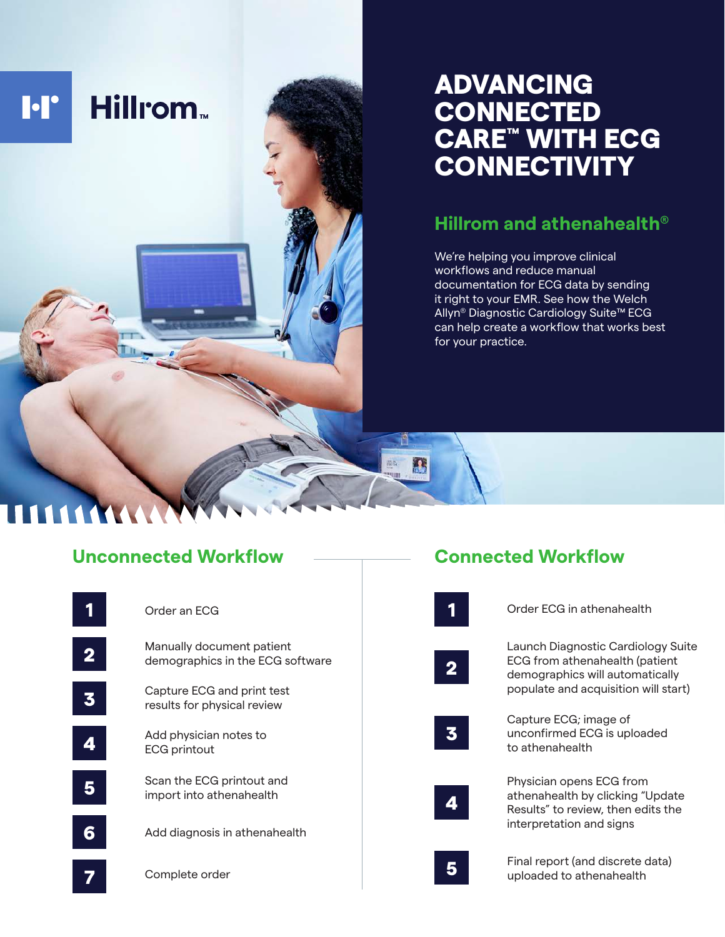# Hillrom.

**I**·I'

# ADVANCING **CONNECTED** CARE™ WITH ECG **CONNECTIVITY**

## **Hillrom and athenahealth®**

We're helping you improve clinical workflows and reduce manual documentation for ECG data by sending it right to your EMR. See how the Welch Allyn® Diagnostic Cardiology Suite™ ECG can help create a workflow that works best for your practice.

**Connected Workflow**

## **Unconnected Workflow**